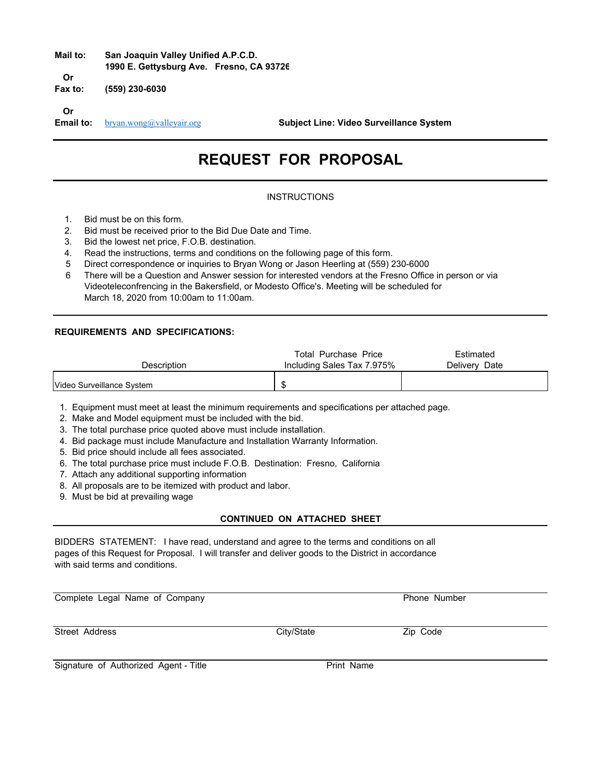# **Mail to: San Joaquin Valley Unified A.P.C.D. 1990 E. Gettysburg Ave. Fresno, CA 93726 Or**

**Fax to: (559) 230-6030**

**Or**

**Email to:** bryan.wong@valleyair.org **Subject Line: Video Surveillance System** 

# **REQUEST FOR PROPOSAL**

## **INSTRUCTIONS**

- 1. Bid must be on this form.
- 2. Bid must be received prior to the Bid Due Date and Time.
- 3. Bid the lowest net price, F.O.B. destination.
- 4. Read the instructions, terms and conditions on the following page of this form.
- 5 Direct correspondence or inquiries to Bryan Wong or Jason Heerling at (559) 230-6000
- 6 There will be a Question and Answer session for interested vendors at the Fresno Office in person or via Videoteleconfrencing in the Bakersfield, or Modesto Office's. Meeting will be scheduled for March 18, 2020 from 10:00am to 11:00am.

#### **REQUIREMENTS AND SPECIFICATIONS:**

| Description                | Total Purchase Price<br>Including Sales Tax 7.975% | Estimated<br>Delivery Date |
|----------------------------|----------------------------------------------------|----------------------------|
| lVideo Surveillance Svstem |                                                    |                            |

1. Equipment must meet at least the minimum requirements and specifications per attached page.

- 2. Make and Model equipment must be included with the bid.
- 3. The total purchase price quoted above must include installation.
- 4. Bid package must include Manufacture and Installation Warranty Information.
- 5. Bid price should include all fees associated.
- 6. The total purchase price must include F.O.B. Destination: Fresno, California
- 7. Attach any additional supporting information
- 8. All proposals are to be itemized with product and labor.
- 9. Must be bid at prevailing wage

## **CONTINUED ON ATTACHED SHEET**

BIDDERS STATEMENT: I have read, understand and agree to the terms and conditions on all pages of this Request for Proposal. I will transfer and deliver goods to the District in accordance with said terms and conditions.

Complete Legal Name of Company **Phone Number** Phone Number

Street Address **City/State City/State Zip Code** 

Signature of Authorized Agent - Title **Print Name**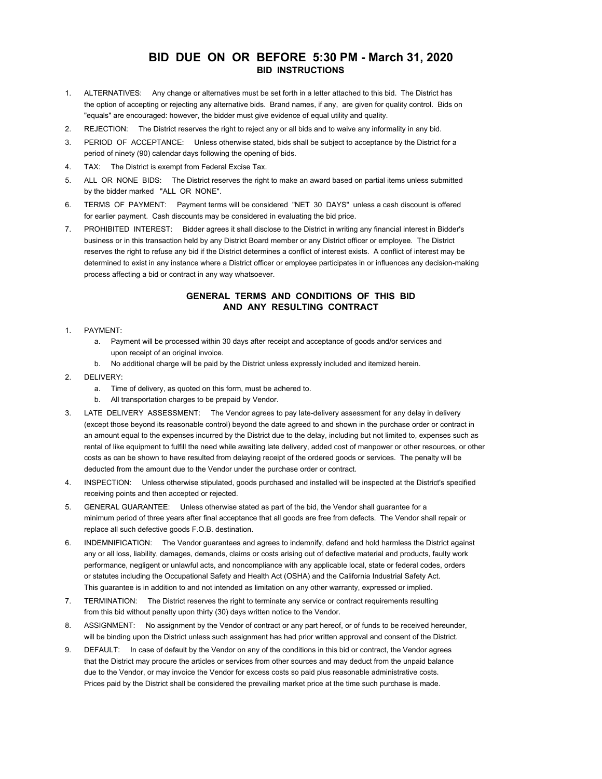## **BID DUE ON OR BEFORE 5:30 PM - March 31, 2020 BID INSTRUCTIONS**

- 1. ALTERNATIVES: Any change or alternatives must be set forth in a letter attached to this bid. The District has the option of accepting or rejecting any alternative bids. Brand names, if any, are given for quality control. Bids on "equals" are encouraged: however, the bidder must give evidence of equal utility and quality.
- 2. REJECTION: The District reserves the right to reject any or all bids and to waive any informality in any bid.
- 3. PERIOD OF ACCEPTANCE: Unless otherwise stated, bids shall be subject to acceptance by the District for a period of ninety (90) calendar days following the opening of bids.
- 4. TAX: The District is exempt from Federal Excise Tax.
- 5. ALL OR NONE BIDS: The District reserves the right to make an award based on partial items unless submitted by the bidder marked "ALL OR NONE".
- 6. TERMS OF PAYMENT: Payment terms will be considered "NET 30 DAYS" unless a cash discount is offered for earlier payment. Cash discounts may be considered in evaluating the bid price.
- 7. PROHIBITED INTEREST: Bidder agrees it shall disclose to the District in writing any financial interest in Bidder's business or in this transaction held by any District Board member or any District officer or employee. The District reserves the right to refuse any bid if the District determines a conflict of interest exists. A conflict of interest may be determined to exist in any instance where a District officer or employee participates in or influences any decision-making process affecting a bid or contract in any way whatsoever.

#### **GENERAL TERMS AND CONDITIONS OF THIS BID AND ANY RESULTING CONTRACT**

- 1. PAYMENT:
	- a. Payment will be processed within 30 days after receipt and acceptance of goods and/or services and upon receipt of an original invoice.
	- b. No additional charge will be paid by the District unless expressly included and itemized herein.
- 2. DELIVERY:
	- a. Time of delivery, as quoted on this form, must be adhered to.
	- b. All transportation charges to be prepaid by Vendor.
- 3. LATE DELIVERY ASSESSMENT: The Vendor agrees to pay late-delivery assessment for any delay in delivery (except those beyond its reasonable control) beyond the date agreed to and shown in the purchase order or contract in an amount equal to the expenses incurred by the District due to the delay, including but not limited to, expenses such as rental of like equipment to fulfill the need while awaiting late delivery, added cost of manpower or other resources, or other costs as can be shown to have resulted from delaying receipt of the ordered goods or services. The penalty will be deducted from the amount due to the Vendor under the purchase order or contract.
- 4. INSPECTION: Unless otherwise stipulated, goods purchased and installed will be inspected at the District's specified receiving points and then accepted or rejected.
- 5. GENERAL GUARANTEE: Unless otherwise stated as part of the bid, the Vendor shall guarantee for a minimum period of three years after final acceptance that all goods are free from defects. The Vendor shall repair or replace all such defective goods F.O.B. destination.
- 6. INDEMNIFICATION: The Vendor guarantees and agrees to indemnify, defend and hold harmless the District against any or all loss, liability, damages, demands, claims or costs arising out of defective material and products, faulty work performance, negligent or unlawful acts, and noncompliance with any applicable local, state or federal codes, orders or statutes including the Occupational Safety and Health Act (OSHA) and the California Industrial Safety Act. This guarantee is in addition to and not intended as limitation on any other warranty, expressed or implied.
- 7. TERMINATION: The District reserves the right to terminate any service or contract requirements resulting from this bid without penalty upon thirty (30) days written notice to the Vendor.
- 8. ASSIGNMENT: No assignment by the Vendor of contract or any part hereof, or of funds to be received hereunder, will be binding upon the District unless such assignment has had prior written approval and consent of the District.
- 9. DEFAULT: In case of default by the Vendor on any of the conditions in this bid or contract, the Vendor agrees that the District may procure the articles or services from other sources and may deduct from the unpaid balance due to the Vendor, or may invoice the Vendor for excess costs so paid plus reasonable administrative costs. Prices paid by the District shall be considered the prevailing market price at the time such purchase is made.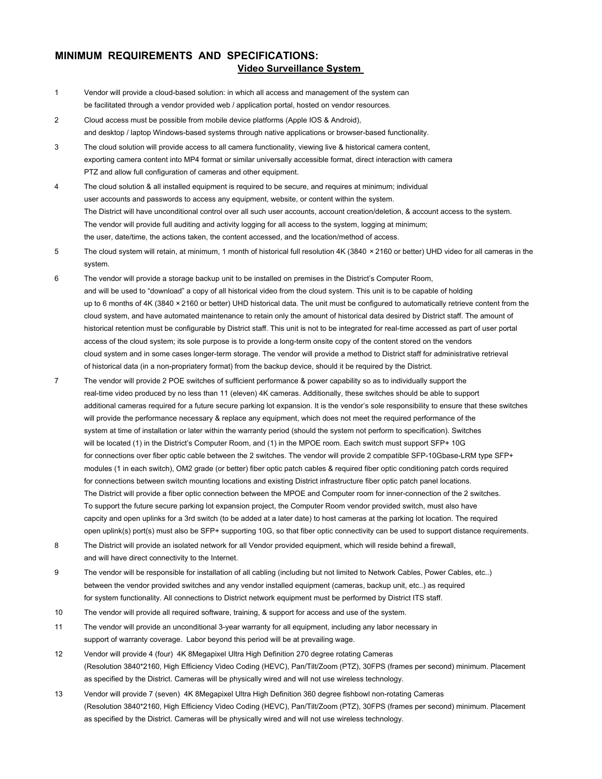## **MINIMUM REQUIREMENTS AND SPECIFICATIONS: Video Surveillance System**

- 1 Vendor will provide a cloud-based solution: in which all access and management of the system can be facilitated through a vendor provided web / application portal, hosted on vendor resources.
- 2 Cloud access must be possible from mobile device platforms (Apple IOS & Android), and desktop / laptop Windows-based systems through native applications or browser-based functionality.
- 3 The cloud solution will provide access to all camera functionality, viewing live & historical camera content, exporting camera content into MP4 format or similar universally accessible format, direct interaction with camera PTZ and allow full configuration of cameras and other equipment.
- 4 The cloud solution & all installed equipment is required to be secure, and requires at minimum; individual user accounts and passwords to access any equipment, website, or content within the system. The District will have unconditional control over all such user accounts, account creation/deletion, & account access to the system. The vendor will provide full auditing and activity logging for all access to the system, logging at minimum; the user, date/time, the actions taken, the content accessed, and the location/method of access.
- 5 The cloud system will retain, at minimum, 1 month of historical full resolution 4K (3840  × 2160 or better) UHD video for all cameras in the system.
- 6 The vendor will provide a storage backup unit to be installed on premises in the District's Computer Room, and will be used to "download" a copy of all historical video from the cloud system. This unit is to be capable of holding up to 6 months of 4K (3840 × 2160 or better) UHD historical data. The unit must be configured to automatically retrieve content from the cloud system, and have automated maintenance to retain only the amount of historical data desired by District staff. The amount of historical retention must be configurable by District staff. This unit is not to be integrated for real-time accessed as part of user portal access of the cloud system; its sole purpose is to provide a long-term onsite copy of the content stored on the vendors cloud system and in some cases longer-term storage. The vendor will provide a method to District staff for administrative retrieval of historical data (in a non-propriatery format) from the backup device, should it be required by the District.
- 7 The vendor will provide 2 POE switches of sufficient performance & power capability so as to individually support the real-time video produced by no less than 11 (eleven) 4K cameras. Additionally, these switches should be able to support additional cameras required for a future secure parking lot expansion. It is the vendor's sole responsibility to ensure that these switches will provide the performance necessary & replace any equipment, which does not meet the required performance of the system at time of installation or later within the warranty period (should the system not perform to specification). Switches will be located (1) in the District's Computer Room, and (1) in the MPOE room. Each switch must support SFP+ 10G for connections over fiber optic cable between the 2 switches. The vendor will provide 2 compatible SFP-10Gbase-LRM type SFP+ modules (1 in each switch), OM2 grade (or better) fiber optic patch cables & required fiber optic conditioning patch cords required for connections between switch mounting locations and existing District infrastructure fiber optic patch panel locations. The District will provide a fiber optic connection between the MPOE and Computer room for inner-connection of the 2 switches. To support the future secure parking lot expansion project, the Computer Room vendor provided switch, must also have capcity and open uplinks for a 3rd switch (to be added at a later date) to host cameras at the parking lot location. The required open uplink(s) port(s) must also be SFP+ supporting 10G, so that fiber optic connectivity can be used to support distance requirements.
- 8 The District will provide an isolated network for all Vendor provided equipment, which will reside behind a firewall, and will have direct connectivity to the Internet.
- 9 The vendor will be responsible for installation of all cabling (including but not limited to Network Cables, Power Cables, etc..) between the vendor provided switches and any vendor installed equipment (cameras, backup unit, etc..) as required for system functionality. All connections to District network equipment must be performed by District ITS staff.
- 10 The vendor will provide all required software, training, & support for access and use of the system.
- 11 The vendor will provide an unconditional 3-year warranty for all equipment, including any labor necessary in support of warranty coverage. Labor beyond this period will be at prevailing wage.
- 12 Vendor will provide 4 (four) 4K 8Megapixel Ultra High Definition 270 degree rotating Cameras (Resolution 3840\*2160, High Efficiency Video Coding (HEVC), Pan/Tilt/Zoom (PTZ), 30FPS (frames per second) minimum. Placement as specified by the District. Cameras will be physically wired and will not use wireless technology.
- 13 Vendor will provide 7 (seven) 4K 8Megapixel Ultra High Definition 360 degree fishbowl non-rotating Cameras (Resolution 3840\*2160, High Efficiency Video Coding (HEVC), Pan/Tilt/Zoom (PTZ), 30FPS (frames per second) minimum. Placement as specified by the District. Cameras will be physically wired and will not use wireless technology.